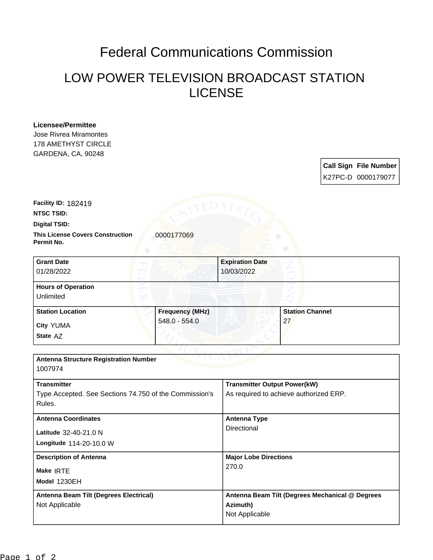## Federal Communications Commission

## LOW POWER TELEVISION BROADCAST STATION LICENSE

**Licensee/Permittee** Jose Rivrea Miramontes 178 AMETHYST CIRCLE GARDENA, CA, 90248

| <b>Call Sign File Number</b> |
|------------------------------|
| K27PC-D 0000179077           |

**Facility ID:** 182419

**NTSC TSID:**

**Digital TSID:**

**This License Covers Construction**  0000177069 **Permit No.**

| <b>Grant Date</b><br>01/28/2022        |                        | <b>Expiration Date</b><br>10/03/2022 |                        |  |
|----------------------------------------|------------------------|--------------------------------------|------------------------|--|
| <b>Hours of Operation</b><br>Unlimited |                        |                                      |                        |  |
| <b>Station Location</b>                | <b>Frequency (MHz)</b> |                                      | <b>Station Channel</b> |  |
| <b>City YUMA</b><br>State AZ           | 548.0 - 554.0          |                                      | 27                     |  |

グチャー

| <b>Antenna Structure Registration Number</b><br>1007974                                |                                                                               |  |  |
|----------------------------------------------------------------------------------------|-------------------------------------------------------------------------------|--|--|
| <b>Transmitter</b><br>Type Accepted. See Sections 74.750 of the Commission's<br>Rules. | <b>Transmitter Output Power(kW)</b><br>As required to achieve authorized ERP. |  |  |
| <b>Antenna Coordinates</b><br>Latitude 32-40-21.0 N<br>Longitude 114-20-10.0 W         | Antenna Type<br>Directional                                                   |  |  |
| <b>Description of Antenna</b><br>Make IRTE<br>Model 1230EH                             | <b>Major Lobe Directions</b><br>270.0                                         |  |  |
| Antenna Beam Tilt (Degrees Electrical)<br>Not Applicable                               | Antenna Beam Tilt (Degrees Mechanical @ Degrees<br>Azimuth)<br>Not Applicable |  |  |